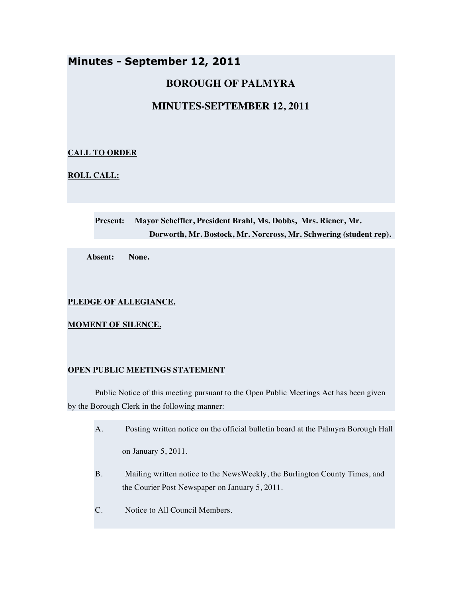# **Minutes - September 12, 2011**

# **BOROUGH OF PALMYRA**

# **MINUTES-SEPTEMBER 12, 2011**

# **CALL TO ORDER**

**ROLL CALL:**

**Present: Mayor Scheffler, President Brahl, Ms. Dobbs, Mrs. Riener, Mr. Dorworth, Mr. Bostock, Mr. Norcross, Mr. Schwering (student rep).**

**Absent: None.**

# **PLEDGE OF ALLEGIANCE.**

**MOMENT OF SILENCE.**

# **OPEN PUBLIC MEETINGS STATEMENT**

Public Notice of this meeting pursuant to the Open Public Meetings Act has been given by the Borough Clerk in the following manner:

A. Posting written notice on the official bulletin board at the Palmyra Borough Hall

on January 5, 2011.

- B. Mailing written notice to the NewsWeekly, the Burlington County Times, and the Courier Post Newspaper on January 5, 2011.
- C. Notice to All Council Members.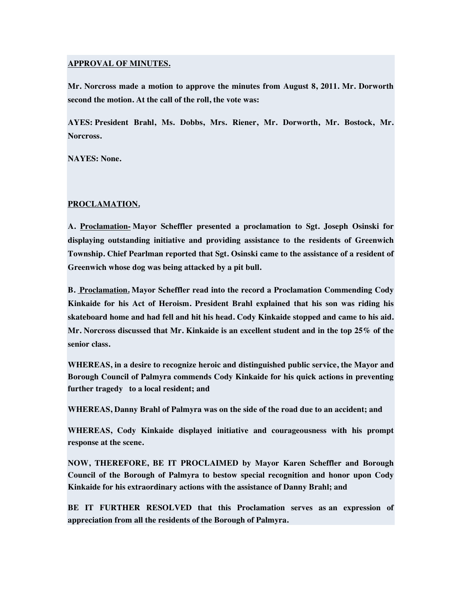### **APPROVAL OF MINUTES.**

**Mr. Norcross made a motion to approve the minutes from August 8, 2011. Mr. Dorworth second the motion. At the call of the roll, the vote was:**

**AYES: President Brahl, Ms. Dobbs, Mrs. Riener, Mr. Dorworth, Mr. Bostock, Mr. Norcross.**

**NAYES: None.**

# **PROCLAMATION.**

**A. Proclamation- Mayor Scheffler presented a proclamation to Sgt. Joseph Osinski for displaying outstanding initiative and providing assistance to the residents of Greenwich Township. Chief Pearlman reported that Sgt. Osinski came to the assistance of a resident of Greenwich whose dog was being attacked by a pit bull.**

**B. Proclamation. Mayor Scheffler read into the record a Proclamation Commending Cody Kinkaide for his Act of Heroism. President Brahl explained that his son was riding his skateboard home and had fell and hit his head. Cody Kinkaide stopped and came to his aid. Mr. Norcross discussed that Mr. Kinkaide is an excellent student and in the top 25% of the senior class.**

**WHEREAS, in a desire to recognize heroic and distinguished public service, the Mayor and Borough Council of Palmyra commends Cody Kinkaide for his quick actions in preventing further tragedy to a local resident; and**

**WHEREAS, Danny Brahl of Palmyra was on the side of the road due to an accident; and**

**WHEREAS, Cody Kinkaide displayed initiative and courageousness with his prompt response at the scene.**

**NOW, THEREFORE, BE IT PROCLAIMED by Mayor Karen Scheffler and Borough Council of the Borough of Palmyra to bestow special recognition and honor upon Cody Kinkaide for his extraordinary actions with the assistance of Danny Brahl; and**

**BE IT FURTHER RESOLVED that this Proclamation serves as an expression of appreciation from all the residents of the Borough of Palmyra.**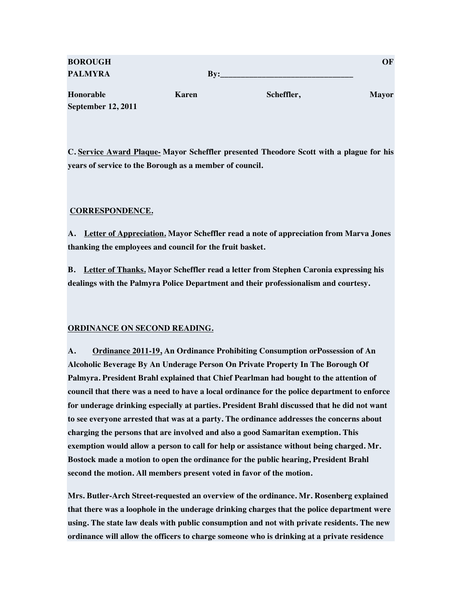| <b>BOROUGH</b>     |       |            | OF           |
|--------------------|-------|------------|--------------|
| <b>PALMYRA</b>     | Bv:   |            |              |
| Honorable          | Karen | Scheffler, | <b>Mayor</b> |
| September 12, 2011 |       |            |              |

**C. Service Award Plaque- Mayor Scheffler presented Theodore Scott with a plague for his years of service to the Borough as a member of council.**

# **CORRESPONDENCE.**

**A. Letter of Appreciation. Mayor Scheffler read a note of appreciation from Marva Jones thanking the employees and council for the fruit basket.**

**B. Letter of Thanks. Mayor Scheffler read a letter from Stephen Caronia expressing his dealings with the Palmyra Police Department and their professionalism and courtesy.**

# **ORDINANCE ON SECOND READING.**

**A. Ordinance 2011-19, An Ordinance Prohibiting Consumption orPossession of An Alcoholic Beverage By An Underage Person On Private Property In The Borough Of Palmyra. President Brahl explained that Chief Pearlman had bought to the attention of council that there was a need to have a local ordinance for the police department to enforce for underage drinking especially at parties. President Brahl discussed that he did not want to see everyone arrested that was at a party. The ordinance addresses the concerns about charging the persons that are involved and also a good Samaritan exemption. This exemption would allow a person to call for help or assistance without being charged. Mr. Bostock made a motion to open the ordinance for the public hearing, President Brahl second the motion. All members present voted in favor of the motion.**

**Mrs. Butler-Arch Street-requested an overview of the ordinance. Mr. Rosenberg explained that there was a loophole in the underage drinking charges that the police department were using. The state law deals with public consumption and not with private residents. The new ordinance will allow the officers to charge someone who is drinking at a private residence**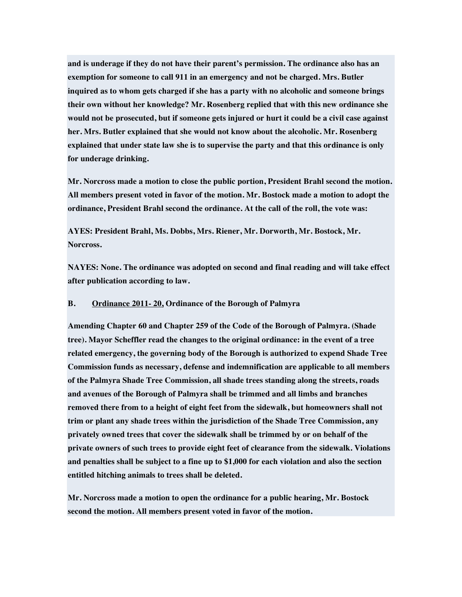**and is underage if they do not have their parent's permission. The ordinance also has an exemption for someone to call 911 in an emergency and not be charged. Mrs. Butler inquired as to whom gets charged if she has a party with no alcoholic and someone brings their own without her knowledge? Mr. Rosenberg replied that with this new ordinance she would not be prosecuted, but if someone gets injured or hurt it could be a civil case against her. Mrs. Butler explained that she would not know about the alcoholic. Mr. Rosenberg explained that under state law she is to supervise the party and that this ordinance is only for underage drinking.**

**Mr. Norcross made a motion to close the public portion, President Brahl second the motion. All members present voted in favor of the motion. Mr. Bostock made a motion to adopt the ordinance, President Brahl second the ordinance. At the call of the roll, the vote was:**

**AYES: President Brahl, Ms. Dobbs, Mrs. Riener, Mr. Dorworth, Mr. Bostock, Mr. Norcross.**

**NAYES: None. The ordinance was adopted on second and final reading and will take effect after publication according to law.**

# **B. Ordinance 2011- 20, Ordinance of the Borough of Palmyra**

**Amending Chapter 60 and Chapter 259 of the Code of the Borough of Palmyra. (Shade tree). Mayor Scheffler read the changes to the original ordinance: in the event of a tree related emergency, the governing body of the Borough is authorized to expend Shade Tree Commission funds as necessary, defense and indemnification are applicable to all members of the Palmyra Shade Tree Commission, all shade trees standing along the streets, roads and avenues of the Borough of Palmyra shall be trimmed and all limbs and branches removed there from to a height of eight feet from the sidewalk, but homeowners shall not trim or plant any shade trees within the jurisdiction of the Shade Tree Commission, any privately owned trees that cover the sidewalk shall be trimmed by or on behalf of the private owners of such trees to provide eight feet of clearance from the sidewalk. Violations and penalties shall be subject to a fine up to \$1,000 for each violation and also the section entitled hitching animals to trees shall be deleted.**

**Mr. Norcross made a motion to open the ordinance for a public hearing, Mr. Bostock second the motion. All members present voted in favor of the motion.**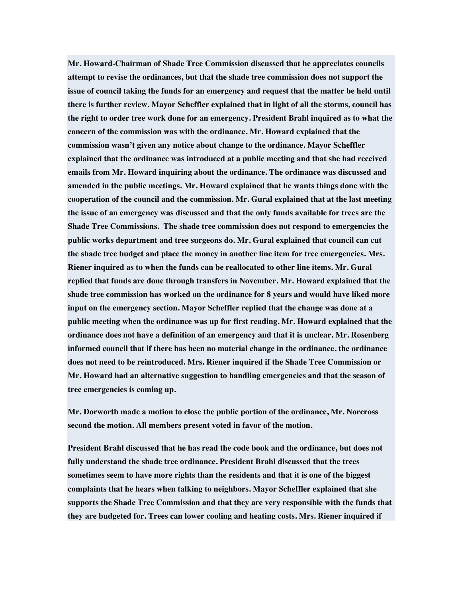**Mr. Howard-Chairman of Shade Tree Commission discussed that he appreciates councils attempt to revise the ordinances, but that the shade tree commission does not support the issue of council taking the funds for an emergency and request that the matter be held until there is further review. Mayor Scheffler explained that in light of all the storms, council has the right to order tree work done for an emergency. President Brahl inquired as to what the concern of the commission was with the ordinance. Mr. Howard explained that the commission wasn't given any notice about change to the ordinance. Mayor Scheffler explained that the ordinance was introduced at a public meeting and that she had received emails from Mr. Howard inquiring about the ordinance. The ordinance was discussed and amended in the public meetings. Mr. Howard explained that he wants things done with the cooperation of the council and the commission. Mr. Gural explained that at the last meeting the issue of an emergency was discussed and that the only funds available for trees are the Shade Tree Commissions. The shade tree commission does not respond to emergencies the public works department and tree surgeons do. Mr. Gural explained that council can cut the shade tree budget and place the money in another line item for tree emergencies. Mrs. Riener inquired as to when the funds can be reallocated to other line items. Mr. Gural replied that funds are done through transfers in November. Mr. Howard explained that the shade tree commission has worked on the ordinance for 8 years and would have liked more input on the emergency section. Mayor Scheffler replied that the change was done at a public meeting when the ordinance was up for first reading. Mr. Howard explained that the ordinance does not have a definition of an emergency and that it is unclear. Mr. Rosenberg informed council that if there has been no material change in the ordinance, the ordinance does not need to be reintroduced. Mrs. Riener inquired if the Shade Tree Commission or Mr. Howard had an alternative suggestion to handling emergencies and that the season of tree emergencies is coming up.**

**Mr. Dorworth made a motion to close the public portion of the ordinance, Mr. Norcross second the motion. All members present voted in favor of the motion.**

**President Brahl discussed that he has read the code book and the ordinance, but does not fully understand the shade tree ordinance. President Brahl discussed that the trees sometimes seem to have more rights than the residents and that it is one of the biggest complaints that he hears when talking to neighbors. Mayor Scheffler explained that she supports the Shade Tree Commission and that they are very responsible with the funds that they are budgeted for. Trees can lower cooling and heating costs. Mrs. Riener inquired if**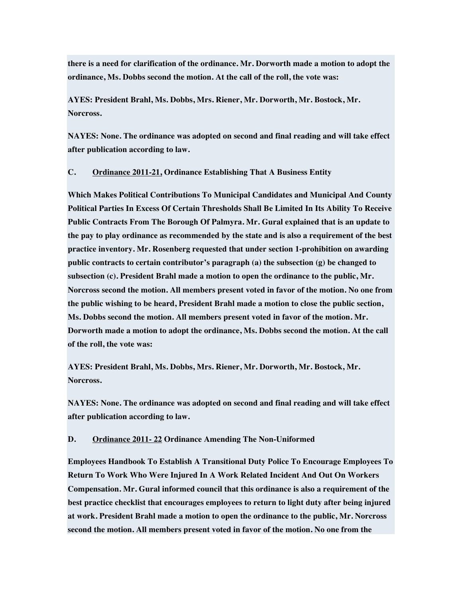**there is a need for clarification of the ordinance. Mr. Dorworth made a motion to adopt the ordinance, Ms. Dobbs second the motion. At the call of the roll, the vote was:**

**AYES: President Brahl, Ms. Dobbs, Mrs. Riener, Mr. Dorworth, Mr. Bostock, Mr. Norcross.**

**NAYES: None. The ordinance was adopted on second and final reading and will take effect after publication according to law.**

**C. Ordinance 2011-21, Ordinance Establishing That A Business Entity**

**Which Makes Political Contributions To Municipal Candidates and Municipal And County Political Parties In Excess Of Certain Thresholds Shall Be Limited In Its Ability To Receive Public Contracts From The Borough Of Palmyra. Mr. Gural explained that is an update to the pay to play ordinance as recommended by the state and is also a requirement of the best practice inventory. Mr. Rosenberg requested that under section 1-prohibition on awarding public contracts to certain contributor's paragraph (a) the subsection (g) be changed to subsection (c). President Brahl made a motion to open the ordinance to the public, Mr. Norcross second the motion. All members present voted in favor of the motion. No one from the public wishing to be heard, President Brahl made a motion to close the public section, Ms. Dobbs second the motion. All members present voted in favor of the motion. Mr. Dorworth made a motion to adopt the ordinance, Ms. Dobbs second the motion. At the call of the roll, the vote was:**

**AYES: President Brahl, Ms. Dobbs, Mrs. Riener, Mr. Dorworth, Mr. Bostock, Mr. Norcross.**

**NAYES: None. The ordinance was adopted on second and final reading and will take effect after publication according to law.**

# **D. Ordinance 2011- 22 Ordinance Amending The Non-Uniformed**

**Employees Handbook To Establish A Transitional Duty Police To Encourage Employees To Return To Work Who Were Injured In A Work Related Incident And Out On Workers Compensation. Mr. Gural informed council that this ordinance is also a requirement of the best practice checklist that encourages employees to return to light duty after being injured at work. President Brahl made a motion to open the ordinance to the public, Mr. Norcross second the motion. All members present voted in favor of the motion. No one from the**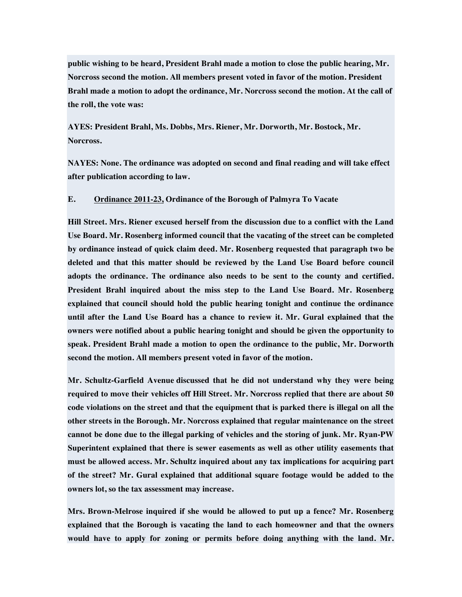**public wishing to be heard, President Brahl made a motion to close the public hearing, Mr. Norcross second the motion. All members present voted in favor of the motion. President Brahl made a motion to adopt the ordinance, Mr. Norcross second the motion. At the call of the roll, the vote was:**

**AYES: President Brahl, Ms. Dobbs, Mrs. Riener, Mr. Dorworth, Mr. Bostock, Mr. Norcross.**

**NAYES: None. The ordinance was adopted on second and final reading and will take effect after publication according to law.**

# **E. Ordinance 2011-23, Ordinance of the Borough of Palmyra To Vacate**

**Hill Street. Mrs. Riener excused herself from the discussion due to a conflict with the Land Use Board. Mr. Rosenberg informed council that the vacating of the street can be completed by ordinance instead of quick claim deed. Mr. Rosenberg requested that paragraph two be deleted and that this matter should be reviewed by the Land Use Board before council adopts the ordinance. The ordinance also needs to be sent to the county and certified. President Brahl inquired about the miss step to the Land Use Board. Mr. Rosenberg explained that council should hold the public hearing tonight and continue the ordinance until after the Land Use Board has a chance to review it. Mr. Gural explained that the owners were notified about a public hearing tonight and should be given the opportunity to speak. President Brahl made a motion to open the ordinance to the public, Mr. Dorworth second the motion. All members present voted in favor of the motion.**

**Mr. Schultz-Garfield Avenue discussed that he did not understand why they were being required to move their vehicles off Hill Street. Mr. Norcross replied that there are about 50 code violations on the street and that the equipment that is parked there is illegal on all the other streets in the Borough. Mr. Norcross explained that regular maintenance on the street cannot be done due to the illegal parking of vehicles and the storing of junk. Mr. Ryan-PW Superintent explained that there is sewer easements as well as other utility easements that must be allowed access. Mr. Schultz inquired about any tax implications for acquiring part of the street? Mr. Gural explained that additional square footage would be added to the owners lot, so the tax assessment may increase.**

**Mrs. Brown-Melrose inquired if she would be allowed to put up a fence? Mr. Rosenberg explained that the Borough is vacating the land to each homeowner and that the owners would have to apply for zoning or permits before doing anything with the land. Mr.**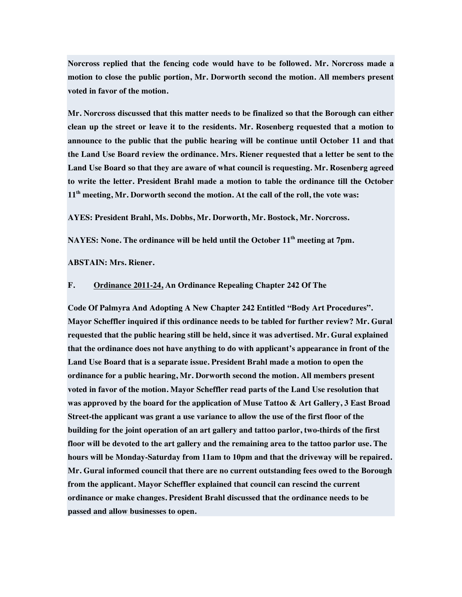**Norcross replied that the fencing code would have to be followed. Mr. Norcross made a motion to close the public portion, Mr. Dorworth second the motion. All members present voted in favor of the motion.**

**Mr. Norcross discussed that this matter needs to be finalized so that the Borough can either clean up the street or leave it to the residents. Mr. Rosenberg requested that a motion to announce to the public that the public hearing will be continue until October 11 and that the Land Use Board review the ordinance. Mrs. Riener requested that a letter be sent to the Land Use Board so that they are aware of what council is requesting. Mr. Rosenberg agreed to write the letter. President Brahl made a motion to table the ordinance till the October 11th meeting, Mr. Dorworth second the motion. At the call of the roll, the vote was:**

**AYES: President Brahl, Ms. Dobbs, Mr. Dorworth, Mr. Bostock, Mr. Norcross.**

**NAYES: None. The ordinance will be held until the October 11th meeting at 7pm.**

**ABSTAIN: Mrs. Riener.**

#### **F. Ordinance 2011-24, An Ordinance Repealing Chapter 242 Of The**

**Code Of Palmyra And Adopting A New Chapter 242 Entitled "Body Art Procedures". Mayor Scheffler inquired if this ordinance needs to be tabled for further review? Mr. Gural requested that the public hearing still be held, since it was advertised. Mr. Gural explained that the ordinance does not have anything to do with applicant's appearance in front of the Land Use Board that is a separate issue. President Brahl made a motion to open the ordinance for a public hearing, Mr. Dorworth second the motion. All members present voted in favor of the motion. Mayor Scheffler read parts of the Land Use resolution that was approved by the board for the application of Muse Tattoo & Art Gallery, 3 East Broad Street-the applicant was grant a use variance to allow the use of the first floor of the building for the joint operation of an art gallery and tattoo parlor, two-thirds of the first floor will be devoted to the art gallery and the remaining area to the tattoo parlor use. The hours will be Monday-Saturday from 11am to 10pm and that the driveway will be repaired. Mr. Gural informed council that there are no current outstanding fees owed to the Borough from the applicant. Mayor Scheffler explained that council can rescind the current ordinance or make changes. President Brahl discussed that the ordinance needs to be passed and allow businesses to open.**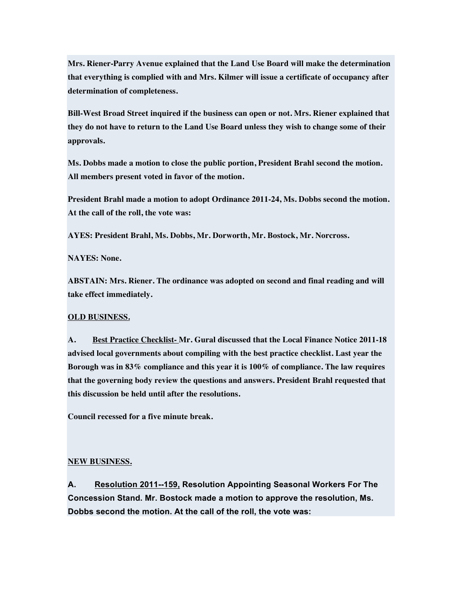**Mrs. Riener-Parry Avenue explained that the Land Use Board will make the determination that everything is complied with and Mrs. Kilmer will issue a certificate of occupancy after determination of completeness.**

**Bill-West Broad Street inquired if the business can open or not. Mrs. Riener explained that they do not have to return to the Land Use Board unless they wish to change some of their approvals.**

**Ms. Dobbs made a motion to close the public portion, President Brahl second the motion. All members present voted in favor of the motion.**

**President Brahl made a motion to adopt Ordinance 2011-24, Ms. Dobbs second the motion. At the call of the roll, the vote was:**

**AYES: President Brahl, Ms. Dobbs, Mr. Dorworth, Mr. Bostock, Mr. Norcross.**

**NAYES: None.**

**ABSTAIN: Mrs. Riener. The ordinance was adopted on second and final reading and will take effect immediately.**

# **OLD BUSINESS.**

**A. Best Practice Checklist- Mr. Gural discussed that the Local Finance Notice 2011-18 advised local governments about compiling with the best practice checklist. Last year the Borough was in 83% compliance and this year it is 100% of compliance. The law requires that the governing body review the questions and answers. President Brahl requested that this discussion be held until after the resolutions.**

**Council recessed for a five minute break.**

# **NEW BUSINESS.**

**A. Resolution 2011--159, Resolution Appointing Seasonal Workers For The Concession Stand. Mr. Bostock made a motion to approve the resolution, Ms. Dobbs second the motion. At the call of the roll, the vote was:**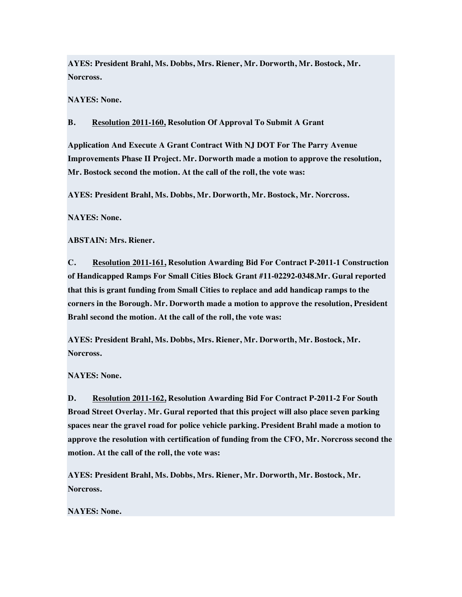**AYES: President Brahl, Ms. Dobbs, Mrs. Riener, Mr. Dorworth, Mr. Bostock, Mr. Norcross.**

**NAYES: None.**

# **B. Resolution 2011-160, Resolution Of Approval To Submit A Grant**

**Application And Execute A Grant Contract With NJ DOT For The Parry Avenue Improvements Phase II Project. Mr. Dorworth made a motion to approve the resolution, Mr. Bostock second the motion. At the call of the roll, the vote was:**

**AYES: President Brahl, Ms. Dobbs, Mr. Dorworth, Mr. Bostock, Mr. Norcross.**

**NAYES: None.**

**ABSTAIN: Mrs. Riener.**

**C. Resolution 2011-161, Resolution Awarding Bid For Contract P-2011-1 Construction of Handicapped Ramps For Small Cities Block Grant #11-02292-0348.Mr. Gural reported that this is grant funding from Small Cities to replace and add handicap ramps to the corners in the Borough. Mr. Dorworth made a motion to approve the resolution, President Brahl second the motion. At the call of the roll, the vote was:**

**AYES: President Brahl, Ms. Dobbs, Mrs. Riener, Mr. Dorworth, Mr. Bostock, Mr. Norcross.**

**NAYES: None.**

**D. Resolution 2011-162, Resolution Awarding Bid For Contract P-2011-2 For South Broad Street Overlay. Mr. Gural reported that this project will also place seven parking spaces near the gravel road for police vehicle parking. President Brahl made a motion to approve the resolution with certification of funding from the CFO, Mr. Norcross second the motion. At the call of the roll, the vote was:**

**AYES: President Brahl, Ms. Dobbs, Mrs. Riener, Mr. Dorworth, Mr. Bostock, Mr. Norcross.**

**NAYES: None.**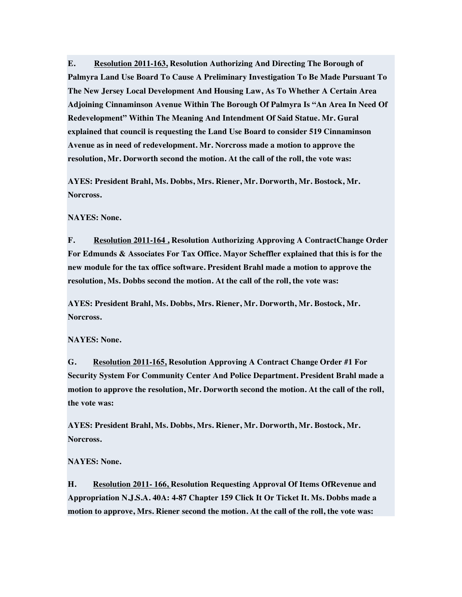**E. Resolution 2011-163, Resolution Authorizing And Directing The Borough of Palmyra Land Use Board To Cause A Preliminary Investigation To Be Made Pursuant To The New Jersey Local Development And Housing Law, As To Whether A Certain Area Adjoining Cinnaminson Avenue Within The Borough Of Palmyra Is "An Area In Need Of Redevelopment" Within The Meaning And Intendment Of Said Statue. Mr. Gural explained that council is requesting the Land Use Board to consider 519 Cinnaminson Avenue as in need of redevelopment. Mr. Norcross made a motion to approve the resolution, Mr. Dorworth second the motion. At the call of the roll, the vote was:**

**AYES: President Brahl, Ms. Dobbs, Mrs. Riener, Mr. Dorworth, Mr. Bostock, Mr. Norcross.**

**NAYES: None.**

**F. Resolution 2011-164 , Resolution Authorizing Approving A ContractChange Order For Edmunds & Associates For Tax Office. Mayor Scheffler explained that this is for the new module for the tax office software. President Brahl made a motion to approve the resolution, Ms. Dobbs second the motion. At the call of the roll, the vote was:**

**AYES: President Brahl, Ms. Dobbs, Mrs. Riener, Mr. Dorworth, Mr. Bostock, Mr. Norcross.**

**NAYES: None.**

**G. Resolution 2011-165, Resolution Approving A Contract Change Order #1 For Security System For Community Center And Police Department. President Brahl made a motion to approve the resolution, Mr. Dorworth second the motion. At the call of the roll, the vote was:**

**AYES: President Brahl, Ms. Dobbs, Mrs. Riener, Mr. Dorworth, Mr. Bostock, Mr. Norcross.**

**NAYES: None.**

**H. Resolution 2011- 166, Resolution Requesting Approval Of Items OfRevenue and Appropriation N.J.S.A. 40A: 4-87 Chapter 159 Click It Or Ticket It. Ms. Dobbs made a motion to approve, Mrs. Riener second the motion. At the call of the roll, the vote was:**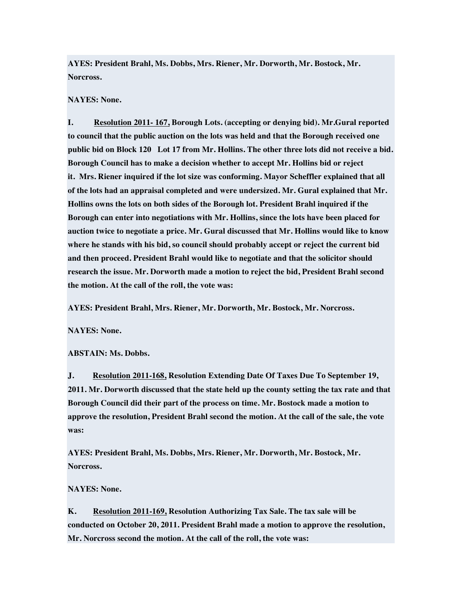**AYES: President Brahl, Ms. Dobbs, Mrs. Riener, Mr. Dorworth, Mr. Bostock, Mr. Norcross.**

# **NAYES: None.**

**I. Resolution 2011- 167, Borough Lots. (accepting or denying bid). Mr.Gural reported to council that the public auction on the lots was held and that the Borough received one public bid on Block 120 Lot 17 from Mr. Hollins. The other three lots did not receive a bid. Borough Council has to make a decision whether to accept Mr. Hollins bid or reject it. Mrs. Riener inquired if the lot size was conforming. Mayor Scheffler explained that all of the lots had an appraisal completed and were undersized. Mr. Gural explained that Mr. Hollins owns the lots on both sides of the Borough lot. President Brahl inquired if the Borough can enter into negotiations with Mr. Hollins, since the lots have been placed for auction twice to negotiate a price. Mr. Gural discussed that Mr. Hollins would like to know where he stands with his bid, so council should probably accept or reject the current bid and then proceed. President Brahl would like to negotiate and that the solicitor should research the issue. Mr. Dorworth made a motion to reject the bid, President Brahl second the motion. At the call of the roll, the vote was:**

**AYES: President Brahl, Mrs. Riener, Mr. Dorworth, Mr. Bostock, Mr. Norcross.**

**NAYES: None.**

# **ABSTAIN: Ms. Dobbs.**

**J. Resolution 2011-168, Resolution Extending Date Of Taxes Due To September 19, 2011. Mr. Dorworth discussed that the state held up the county setting the tax rate and that Borough Council did their part of the process on time. Mr. Bostock made a motion to approve the resolution, President Brahl second the motion. At the call of the sale, the vote was:**

**AYES: President Brahl, Ms. Dobbs, Mrs. Riener, Mr. Dorworth, Mr. Bostock, Mr. Norcross.**

#### **NAYES: None.**

**K. Resolution 2011-169, Resolution Authorizing Tax Sale. The tax sale will be conducted on October 20, 2011. President Brahl made a motion to approve the resolution, Mr. Norcross second the motion. At the call of the roll, the vote was:**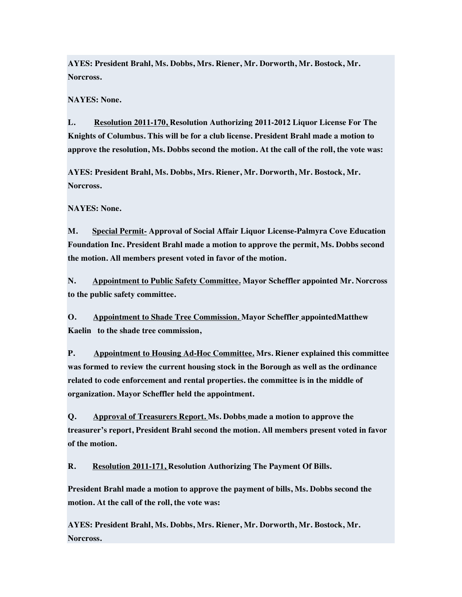**AYES: President Brahl, Ms. Dobbs, Mrs. Riener, Mr. Dorworth, Mr. Bostock, Mr. Norcross.**

**NAYES: None.**

**L. Resolution 2011-170, Resolution Authorizing 2011-2012 Liquor License For The Knights of Columbus. This will be for a club license. President Brahl made a motion to approve the resolution, Ms. Dobbs second the motion. At the call of the roll, the vote was:**

**AYES: President Brahl, Ms. Dobbs, Mrs. Riener, Mr. Dorworth, Mr. Bostock, Mr. Norcross.**

**NAYES: None.**

**M. Special Permit- Approval of Social Affair Liquor License-Palmyra Cove Education Foundation Inc. President Brahl made a motion to approve the permit, Ms. Dobbs second the motion. All members present voted in favor of the motion.**

**N. Appointment to Public Safety Committee. Mayor Scheffler appointed Mr. Norcross to the public safety committee.**

**O. Appointment to Shade Tree Commission. Mayor Scheffler appointedMatthew Kaelin to the shade tree commission,**

**P. Appointment to Housing Ad-Hoc Committee. Mrs. Riener explained this committee was formed to review the current housing stock in the Borough as well as the ordinance related to code enforcement and rental properties. the committee is in the middle of organization. Mayor Scheffler held the appointment.**

**Q. Approval of Treasurers Report. Ms. Dobbs made a motion to approve the treasurer's report, President Brahl second the motion. All members present voted in favor of the motion.**

**R. Resolution 2011-171, Resolution Authorizing The Payment Of Bills.**

**President Brahl made a motion to approve the payment of bills, Ms. Dobbs second the motion. At the call of the roll, the vote was:**

**AYES: President Brahl, Ms. Dobbs, Mrs. Riener, Mr. Dorworth, Mr. Bostock, Mr. Norcross.**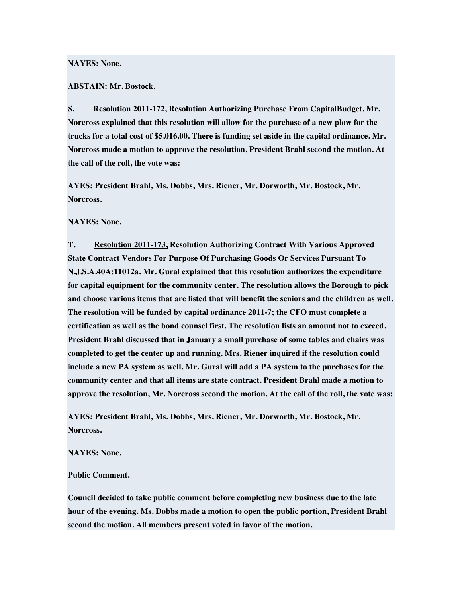# **NAYES: None.**

#### **ABSTAIN: Mr. Bostock.**

**S. Resolution 2011-172, Resolution Authorizing Purchase From CapitalBudget. Mr. Norcross explained that this resolution will allow for the purchase of a new plow for the trucks for a total cost of \$5,016.00. There is funding set aside in the capital ordinance. Mr. Norcross made a motion to approve the resolution, President Brahl second the motion. At the call of the roll, the vote was:**

**AYES: President Brahl, Ms. Dobbs, Mrs. Riener, Mr. Dorworth, Mr. Bostock, Mr. Norcross.**

#### **NAYES: None.**

**T. Resolution 2011-173, Resolution Authorizing Contract With Various Approved State Contract Vendors For Purpose Of Purchasing Goods Or Services Pursuant To N.J.S.A.40A:11012a. Mr. Gural explained that this resolution authorizes the expenditure for capital equipment for the community center. The resolution allows the Borough to pick and choose various items that are listed that will benefit the seniors and the children as well. The resolution will be funded by capital ordinance 2011-7; the CFO must complete a certification as well as the bond counsel first. The resolution lists an amount not to exceed. President Brahl discussed that in January a small purchase of some tables and chairs was completed to get the center up and running. Mrs. Riener inquired if the resolution could include a new PA system as well. Mr. Gural will add a PA system to the purchases for the community center and that all items are state contract. President Brahl made a motion to approve the resolution, Mr. Norcross second the motion. At the call of the roll, the vote was:**

**AYES: President Brahl, Ms. Dobbs, Mrs. Riener, Mr. Dorworth, Mr. Bostock, Mr. Norcross.**

**NAYES: None.**

#### **Public Comment.**

**Council decided to take public comment before completing new business due to the late hour of the evening. Ms. Dobbs made a motion to open the public portion, President Brahl second the motion. All members present voted in favor of the motion.**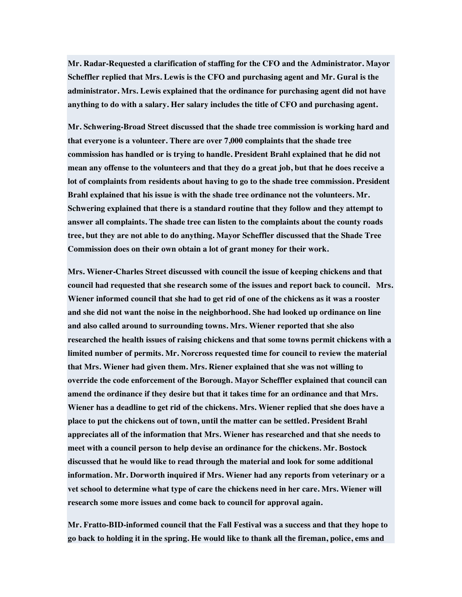**Mr. Radar-Requested a clarification of staffing for the CFO and the Administrator. Mayor Scheffler replied that Mrs. Lewis is the CFO and purchasing agent and Mr. Gural is the administrator. Mrs. Lewis explained that the ordinance for purchasing agent did not have anything to do with a salary. Her salary includes the title of CFO and purchasing agent.**

**Mr. Schwering-Broad Street discussed that the shade tree commission is working hard and that everyone is a volunteer. There are over 7,000 complaints that the shade tree commission has handled or is trying to handle. President Brahl explained that he did not mean any offense to the volunteers and that they do a great job, but that he does receive a lot of complaints from residents about having to go to the shade tree commission. President Brahl explained that his issue is with the shade tree ordinance not the volunteers. Mr. Schwering explained that there is a standard routine that they follow and they attempt to answer all complaints. The shade tree can listen to the complaints about the county roads tree, but they are not able to do anything. Mayor Scheffler discussed that the Shade Tree Commission does on their own obtain a lot of grant money for their work.**

**Mrs. Wiener-Charles Street discussed with council the issue of keeping chickens and that council had requested that she research some of the issues and report back to council. Mrs. Wiener informed council that she had to get rid of one of the chickens as it was a rooster and she did not want the noise in the neighborhood. She had looked up ordinance on line and also called around to surrounding towns. Mrs. Wiener reported that she also researched the health issues of raising chickens and that some towns permit chickens with a limited number of permits. Mr. Norcross requested time for council to review the material that Mrs. Wiener had given them. Mrs. Riener explained that she was not willing to override the code enforcement of the Borough. Mayor Scheffler explained that council can amend the ordinance if they desire but that it takes time for an ordinance and that Mrs. Wiener has a deadline to get rid of the chickens. Mrs. Wiener replied that she does have a place to put the chickens out of town, until the matter can be settled. President Brahl appreciates all of the information that Mrs. Wiener has researched and that she needs to meet with a council person to help devise an ordinance for the chickens. Mr. Bostock discussed that he would like to read through the material and look for some additional information. Mr. Dorworth inquired if Mrs. Wiener had any reports from veterinary or a vet school to determine what type of care the chickens need in her care. Mrs. Wiener will research some more issues and come back to council for approval again.**

**Mr. Fratto-BID-informed council that the Fall Festival was a success and that they hope to go back to holding it in the spring. He would like to thank all the fireman, police, ems and**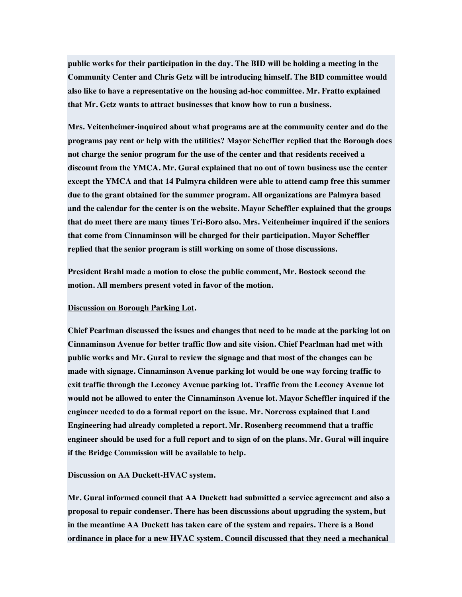**public works for their participation in the day. The BID will be holding a meeting in the Community Center and Chris Getz will be introducing himself. The BID committee would also like to have a representative on the housing ad-hoc committee. Mr. Fratto explained that Mr. Getz wants to attract businesses that know how to run a business.**

**Mrs. Veitenheimer-inquired about what programs are at the community center and do the programs pay rent or help with the utilities? Mayor Scheffler replied that the Borough does not charge the senior program for the use of the center and that residents received a discount from the YMCA. Mr. Gural explained that no out of town business use the center except the YMCA and that 14 Palmyra children were able to attend camp free this summer due to the grant obtained for the summer program. All organizations are Palmyra based and the calendar for the center is on the website. Mayor Scheffler explained that the groups that do meet there are many times Tri-Boro also. Mrs. Veitenheimer inquired if the seniors that come from Cinnaminson will be charged for their participation. Mayor Scheffler replied that the senior program is still working on some of those discussions.**

**President Brahl made a motion to close the public comment, Mr. Bostock second the motion. All members present voted in favor of the motion.**

### **Discussion on Borough Parking Lot.**

**Chief Pearlman discussed the issues and changes that need to be made at the parking lot on Cinnaminson Avenue for better traffic flow and site vision. Chief Pearlman had met with public works and Mr. Gural to review the signage and that most of the changes can be made with signage. Cinnaminson Avenue parking lot would be one way forcing traffic to exit traffic through the Leconey Avenue parking lot. Traffic from the Leconey Avenue lot would not be allowed to enter the Cinnaminson Avenue lot. Mayor Scheffler inquired if the engineer needed to do a formal report on the issue. Mr. Norcross explained that Land Engineering had already completed a report. Mr. Rosenberg recommend that a traffic engineer should be used for a full report and to sign of on the plans. Mr. Gural will inquire if the Bridge Commission will be available to help.**

#### **Discussion on AA Duckett-HVAC system.**

**Mr. Gural informed council that AA Duckett had submitted a service agreement and also a proposal to repair condenser. There has been discussions about upgrading the system, but in the meantime AA Duckett has taken care of the system and repairs. There is a Bond ordinance in place for a new HVAC system. Council discussed that they need a mechanical**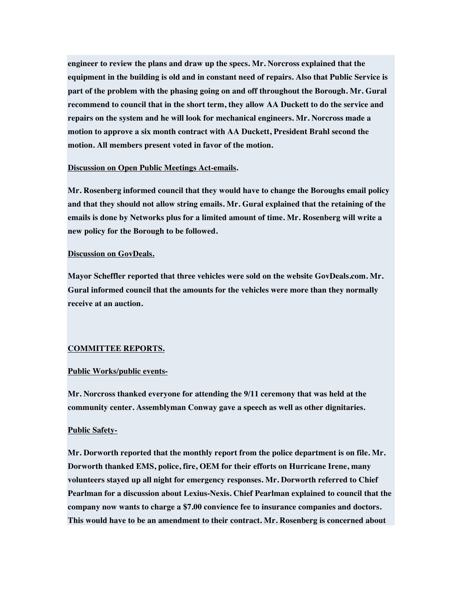**engineer to review the plans and draw up the specs. Mr. Norcross explained that the equipment in the building is old and in constant need of repairs. Also that Public Service is part of the problem with the phasing going on and off throughout the Borough. Mr. Gural recommend to council that in the short term, they allow AA Duckett to do the service and repairs on the system and he will look for mechanical engineers. Mr. Norcross made a motion to approve a six month contract with AA Duckett, President Brahl second the motion. All members present voted in favor of the motion.**

#### **Discussion on Open Public Meetings Act-emails.**

**Mr. Rosenberg informed council that they would have to change the Boroughs email policy and that they should not allow string emails. Mr. Gural explained that the retaining of the emails is done by Networks plus for a limited amount of time. Mr. Rosenberg will write a new policy for the Borough to be followed.**

# **Discussion on GovDeals.**

**Mayor Scheffler reported that three vehicles were sold on the website GovDeals.com. Mr. Gural informed council that the amounts for the vehicles were more than they normally receive at an auction.**

# **COMMITTEE REPORTS.**

# **Public Works/public events-**

**Mr. Norcross thanked everyone for attending the 9/11 ceremony that was held at the community center. Assemblyman Conway gave a speech as well as other dignitaries.**

# **Public Safety-**

**Mr. Dorworth reported that the monthly report from the police department is on file. Mr. Dorworth thanked EMS, police, fire, OEM for their efforts on Hurricane Irene, many volunteers stayed up all night for emergency responses. Mr. Dorworth referred to Chief Pearlman for a discussion about Lexius-Nexis. Chief Pearlman explained to council that the company now wants to charge a \$7.00 convience fee to insurance companies and doctors. This would have to be an amendment to their contract. Mr. Rosenberg is concerned about**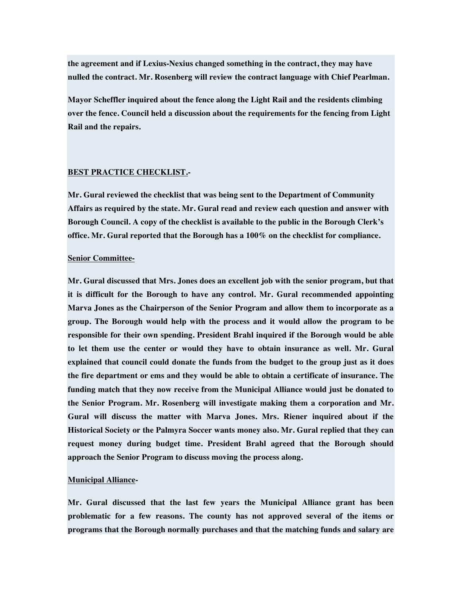**the agreement and if Lexius-Nexius changed something in the contract, they may have nulled the contract. Mr. Rosenberg will review the contract language with Chief Pearlman.**

**Mayor Scheffler inquired about the fence along the Light Rail and the residents climbing over the fence. Council held a discussion about the requirements for the fencing from Light Rail and the repairs.**

# **BEST PRACTICE CHECKLIST.-**

**Mr. Gural reviewed the checklist that was being sent to the Department of Community Affairs as required by the state. Mr. Gural read and review each question and answer with Borough Council. A copy of the checklist is available to the public in the Borough Clerk's office. Mr. Gural reported that the Borough has a 100% on the checklist for compliance.**

#### **Senior Committee-**

**Mr. Gural discussed that Mrs. Jones does an excellent job with the senior program, but that it is difficult for the Borough to have any control. Mr. Gural recommended appointing Marva Jones as the Chairperson of the Senior Program and allow them to incorporate as a group. The Borough would help with the process and it would allow the program to be responsible for their own spending. President Brahl inquired if the Borough would be able to let them use the center or would they have to obtain insurance as well. Mr. Gural explained that council could donate the funds from the budget to the group just as it does the fire department or ems and they would be able to obtain a certificate of insurance. The funding match that they now receive from the Municipal Alliance would just be donated to the Senior Program. Mr. Rosenberg will investigate making them a corporation and Mr. Gural will discuss the matter with Marva Jones. Mrs. Riener inquired about if the Historical Society or the Palmyra Soccer wants money also. Mr. Gural replied that they can request money during budget time. President Brahl agreed that the Borough should approach the Senior Program to discuss moving the process along.**

#### **Municipal Alliance-**

**Mr. Gural discussed that the last few years the Municipal Alliance grant has been problematic for a few reasons. The county has not approved several of the items or programs that the Borough normally purchases and that the matching funds and salary are**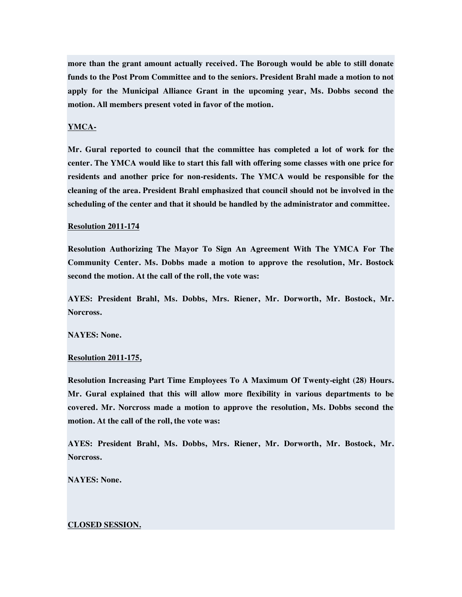**more than the grant amount actually received. The Borough would be able to still donate funds to the Post Prom Committee and to the seniors. President Brahl made a motion to not apply for the Municipal Alliance Grant in the upcoming year, Ms. Dobbs second the motion. All members present voted in favor of the motion.**

# **YMCA-**

**Mr. Gural reported to council that the committee has completed a lot of work for the center. The YMCA would like to start this fall with offering some classes with one price for residents and another price for non-residents. The YMCA would be responsible for the cleaning of the area. President Brahl emphasized that council should not be involved in the scheduling of the center and that it should be handled by the administrator and committee.**

#### **Resolution 2011-174**

**Resolution Authorizing The Mayor To Sign An Agreement With The YMCA For The Community Center. Ms. Dobbs made a motion to approve the resolution, Mr. Bostock second the motion. At the call of the roll, the vote was:**

**AYES: President Brahl, Ms. Dobbs, Mrs. Riener, Mr. Dorworth, Mr. Bostock, Mr. Norcross.**

**NAYES: None.**

# **Resolution 2011-175,**

**Resolution Increasing Part Time Employees To A Maximum Of Twenty-eight (28) Hours. Mr. Gural explained that this will allow more flexibility in various departments to be covered. Mr. Norcross made a motion to approve the resolution, Ms. Dobbs second the motion. At the call of the roll, the vote was:**

**AYES: President Brahl, Ms. Dobbs, Mrs. Riener, Mr. Dorworth, Mr. Bostock, Mr. Norcross.**

**NAYES: None.**

#### **CLOSED SESSION.**